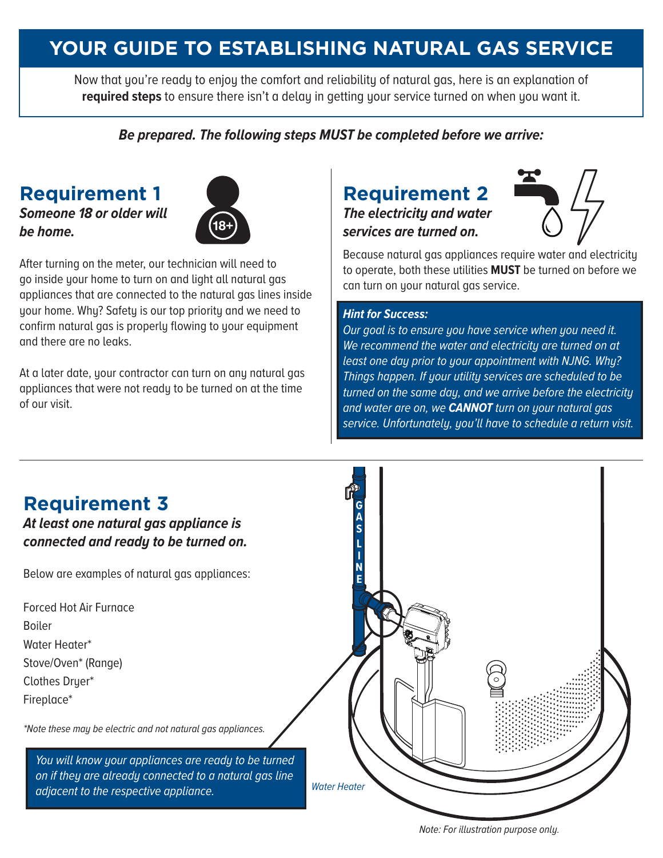## **YOUR GUIDE TO ESTABLISHING NATURAL GAS SERVICE**

Now that you're ready to enjoy the comfort and reliability of natural gas, here is an explanation of **required steps** to ensure there isn't a delay in getting your service turned on when you want it.

#### *Be prepared. The following steps MUST be completed before we arrive:*

#### **Requirement 1**

*Someone 18 or older will be home.* 



After turning on the meter, our technician will need to go inside your home to turn on and light all natural gas appliances that are connected to the natural gas lines inside your home. Why? Safety is our top priority and we need to confirm natural gas is properly flowing to your equipment and there are no leaks.

At a later date, your contractor can turn on any natural gas appliances that were not ready to be turned on at the time of our visit.

# **Requirement 2**

*The electricity and water services are turned on.* 



Because natural gas appliances require water and electricity to operate, both these utilities **MUST** be turned on before we can turn on your natural gas service.

#### *Hint for Success:*

*Our goal is to ensure you have service when you need it. We recommend the water and electricity are turned on at least one day prior to your appointment with NJNG. Why? Things happen. If your utility services are scheduled to be turned on the same day, and we arrive before the electricity and water are on, we CANNOT turn on your natural gas service. Unfortunately, you'll have to schedule a return visit.* 



*Note: For illustration purpose only.*